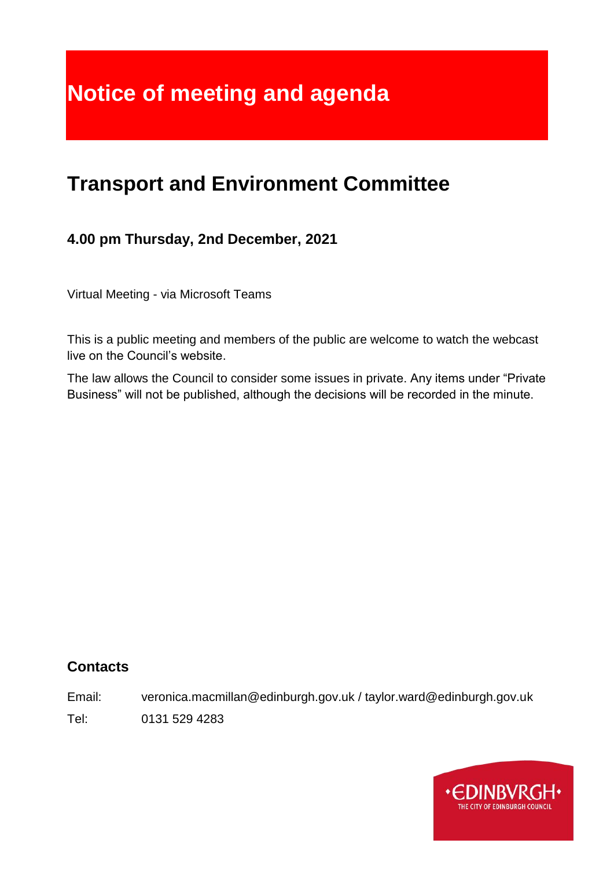# **Notice of meeting and agenda**

# **Transport and Environment Committee**

# **4.00 pm Thursday, 2nd December, 2021**

Virtual Meeting - via Microsoft Teams

This is a public meeting and members of the public are welcome to watch the webcast live on the Council's website.

The law allows the Council to consider some issues in private. Any items under "Private Business" will not be published, although the decisions will be recorded in the minute.

#### **Contacts**

Email: veronica.macmillan@edinburgh.gov.uk / taylor.ward@edinburgh.gov.uk

Tel: 0131 529 4283

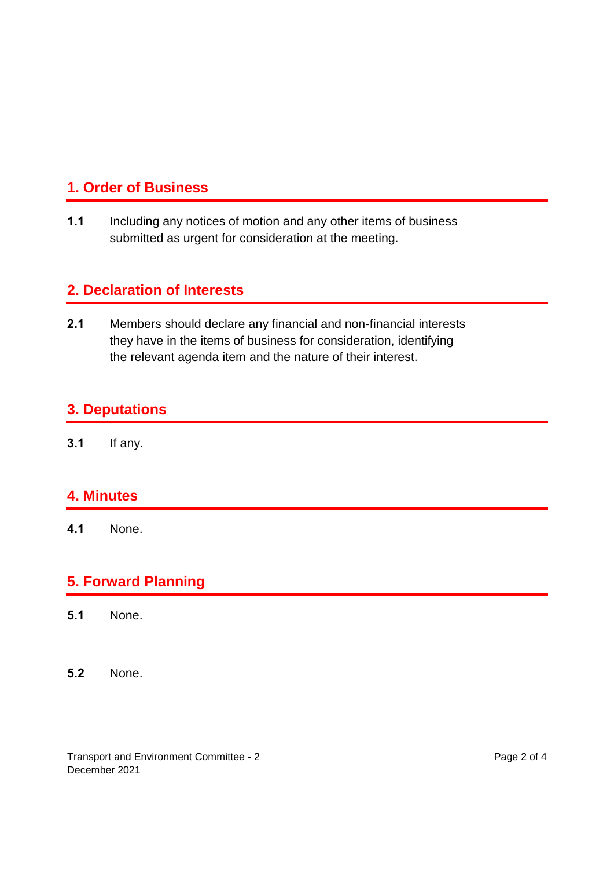## **1. Order of Business**

**1.1** Including any notices of motion and any other items of business submitted as urgent for consideration at the meeting.

#### **2. Declaration of Interests**

**2.1** Members should declare any financial and non-financial interests they have in the items of business for consideration, identifying the relevant agenda item and the nature of their interest.

#### **3. Deputations**

**3.1** If any.

#### **4. Minutes**

**4.1** None.

#### **5. Forward Planning**

- **5.1** None.
- **5.2** None.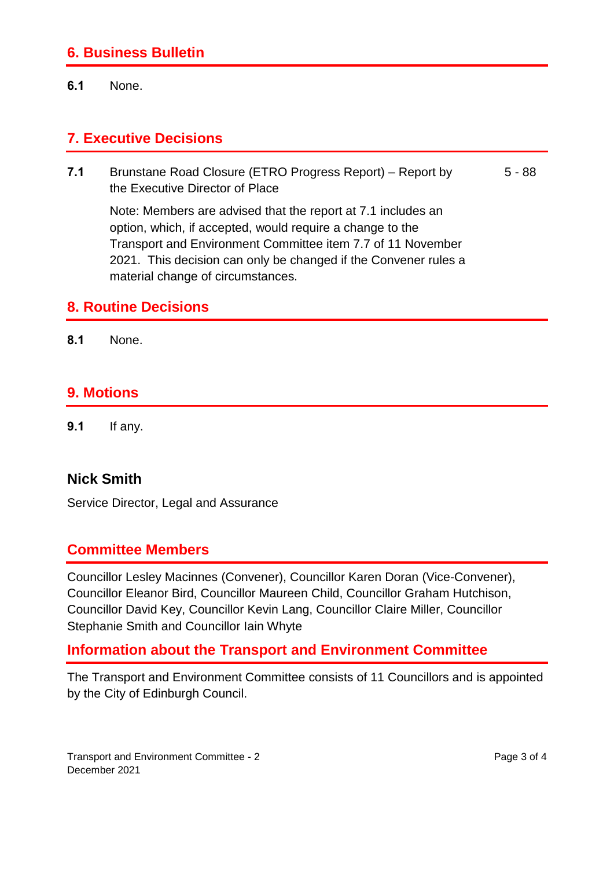#### **6. Business Bulletin**

**6.1** None.

#### **7. Executive Decisions**

**7.1** Brunstane Road Closure (ETRO Progress Report) – Report by the Executive Director of Place 5 - 88

Note: Members are advised that the report at 7.1 includes an option, which, if accepted, would require a change to the Transport and Environment Committee item 7.7 of 11 November 2021. This decision can only be changed if the Convener rules a material change of circumstances.

#### **8. Routine Decisions**

**8.1** None.

#### **9. Motions**

**9.1** If any.

#### **Nick Smith**

Service Director, Legal and Assurance

#### **Committee Members**

Councillor Lesley Macinnes (Convener), Councillor Karen Doran (Vice-Convener), Councillor Eleanor Bird, Councillor Maureen Child, Councillor Graham Hutchison, Councillor David Key, Councillor Kevin Lang, Councillor Claire Miller, Councillor Stephanie Smith and Councillor Iain Whyte

#### **Information about the Transport and Environment Committee**

The Transport and Environment Committee consists of 11 Councillors and is appointed by the City of Edinburgh Council.

Transport and Environment Committee - 2 December 2021